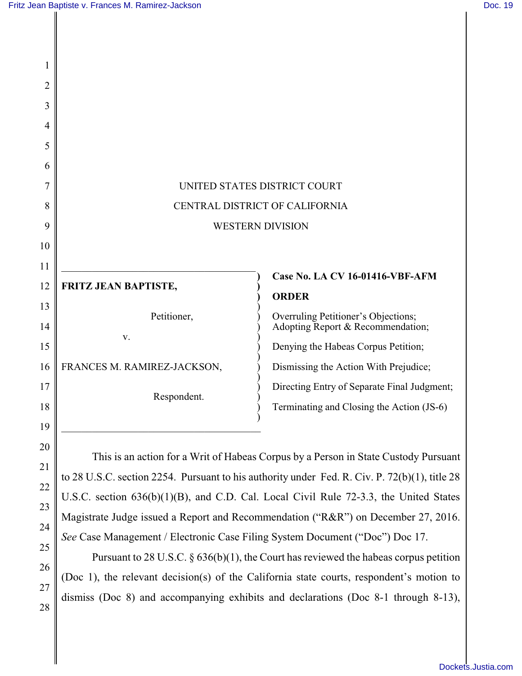21

22

23

24

25

26

27

28

| 1        |                                |                                                                                     |
|----------|--------------------------------|-------------------------------------------------------------------------------------|
| 2        |                                |                                                                                     |
| 3        |                                |                                                                                     |
| 4        |                                |                                                                                     |
| 5        |                                |                                                                                     |
| 6        |                                |                                                                                     |
| 7        | UNITED STATES DISTRICT COURT   |                                                                                     |
| 8        | CENTRAL DISTRICT OF CALIFORNIA |                                                                                     |
| 9        | <b>WESTERN DIVISION</b>        |                                                                                     |
| 10       |                                |                                                                                     |
| 11       |                                |                                                                                     |
| 12       | FRITZ JEAN BAPTISTE,           | Case No. LA CV 16-01416-VBF-AFM<br><b>ORDER</b>                                     |
| 13<br>14 | Petitioner,                    | Overruling Petitioner's Objections;<br>Adopting Report & Recommendation;            |
| 15       | V.                             | Denying the Habeas Corpus Petition;                                                 |
| 16       | FRANCES M. RAMIREZ-JACKSON,    | Dismissing the Action With Prejudice;                                               |
| 17       | Respondent.                    | Directing Entry of Separate Final Judgment;                                         |
| 18       |                                | Terminating and Closing the Action (JS-6)                                           |
| 19       |                                |                                                                                     |
| 20       |                                | This is an action for a Writ of Habeas Corpus by a Person in State Custody Pursuant |

This is an action for a Writ of Habeas Corpus by a Person in State Custody Pursuant to 28 U.S.C. section 2254. Pursuant to his authority under Fed. R. Civ. P. 72(b)(1), title 28 U.S.C. section 636(b)(1)(B), and C.D. Cal. Local Civil Rule 72-3.3, the United States Magistrate Judge issued a Report and Recommendation ("R&R") on December 27, 2016. *See* Case Management / Electronic Case Filing System Document ("Doc") Doc 17.

Pursuant to 28 U.S.C. § 636(b)(1), the Court has reviewed the habeas corpus petition (Doc 1), the relevant decision(s) of the California state courts, respondent's motion to dismiss (Doc 8) and accompanying exhibits and declarations (Doc 8-1 through 8-13),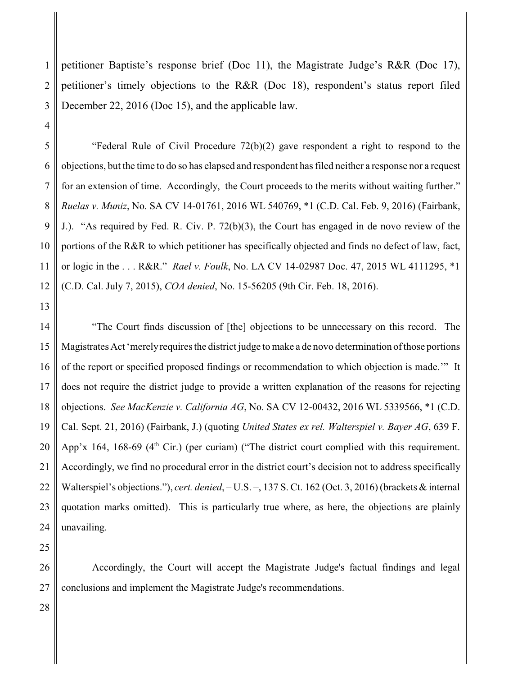1 2 3 petitioner Baptiste's response brief (Doc 11), the Magistrate Judge's R&R (Doc 17), petitioner's timely objections to the R&R (Doc 18), respondent's status report filed December 22, 2016 (Doc 15), and the applicable law.

5 6 7 8 9 10 11 12 "Federal Rule of Civil Procedure 72(b)(2) gave respondent a right to respond to the objections, but the time to do so has elapsed and respondent has filed neither a response nor a request for an extension of time. Accordingly, the Court proceeds to the merits without waiting further." *Ruelas v. Muniz*, No. SA CV 14-01761, 2016 WL 540769, \*1 (C.D. Cal. Feb. 9, 2016) (Fairbank, J.). "As required by Fed. R. Civ. P. 72(b)(3), the Court has engaged in de novo review of the portions of the R&R to which petitioner has specifically objected and finds no defect of law, fact, or logic in the . . . R&R." *Rael v. Foulk*, No. LA CV 14-02987 Doc. 47, 2015 WL 4111295, \*1 (C.D. Cal. July 7, 2015), *COA denied*, No. 15-56205 (9th Cir. Feb. 18, 2016).

13

4

14 15 16 17 18 19 20 21 22 23 24 "The Court finds discussion of [the] objections to be unnecessary on this record. The Magistrates Act 'merely requires the district judge to make a de novo determination of those portions of the report or specified proposed findings or recommendation to which objection is made.'" It does not require the district judge to provide a written explanation of the reasons for rejecting objections. *See MacKenzie v. California AG*, No. SA CV 12-00432, 2016 WL 5339566, \*1 (C.D. Cal. Sept. 21, 2016) (Fairbank, J.) (quoting *United States ex rel. Walterspiel v. Bayer AG*, 639 F. App'x 164, 168-69 ( $4<sup>th</sup>$  Cir.) (per curiam) ("The district court complied with this requirement. Accordingly, we find no procedural error in the district court's decision not to address specifically Walterspiel's objections."), *cert. denied*, – U.S. –, 137 S. Ct. 162 (Oct. 3, 2016) (brackets & internal quotation marks omitted). This is particularly true where, as here, the objections are plainly unavailing.

25

26 27 Accordingly, the Court will accept the Magistrate Judge's factual findings and legal conclusions and implement the Magistrate Judge's recommendations.

28